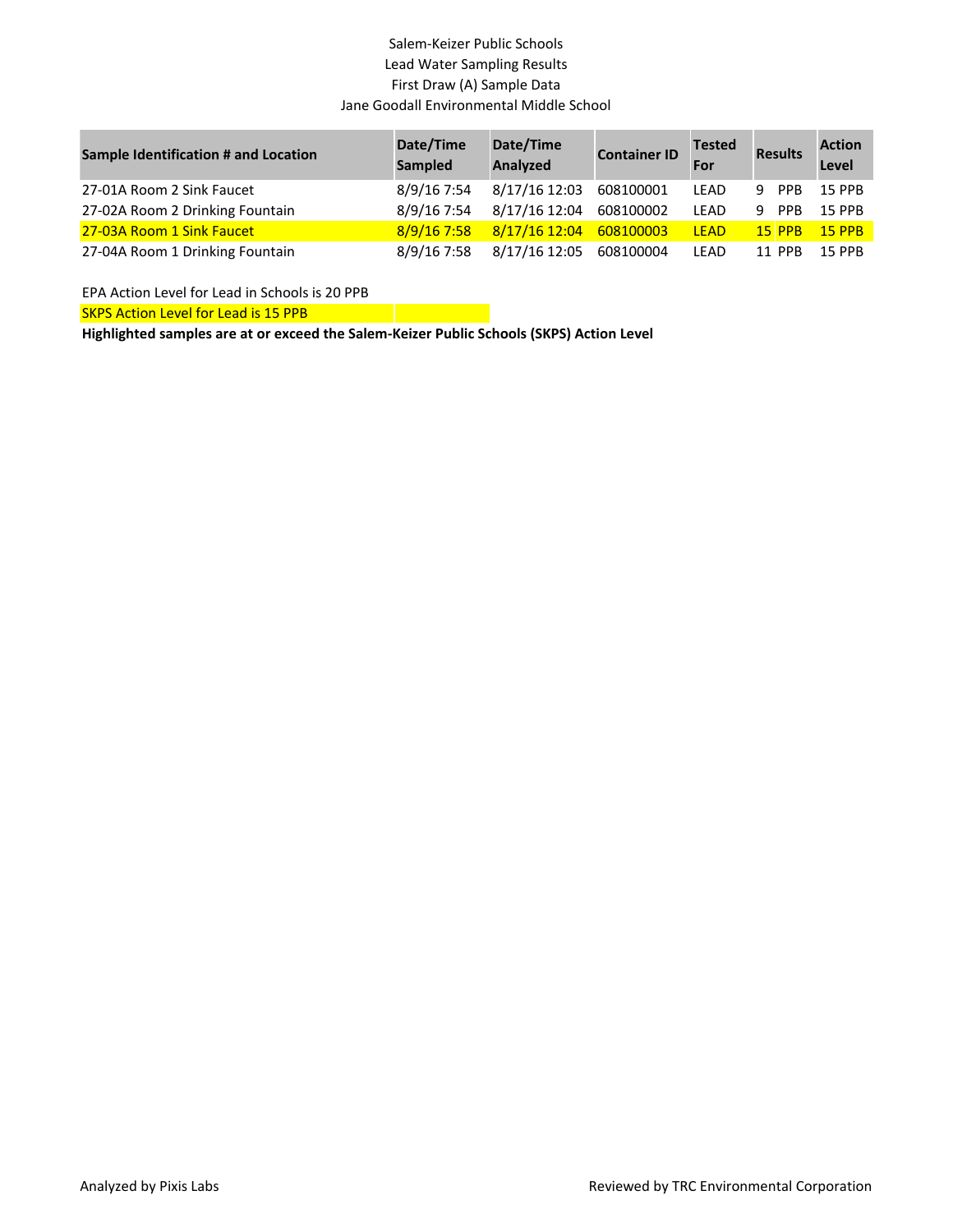### Salem-Keizer Public Schools Lead Water Sampling Results First Draw (A) Sample Data Jane Goodall Environmental Middle School

| <b>Sample Identification # and Location</b> | Date/Time<br><b>Sampled</b> | Date/Time<br>Analyzed   | <b>Container ID</b> | <b>Tested</b><br>For | <b>Results</b> | <b>Action</b><br>Level |
|---------------------------------------------|-----------------------------|-------------------------|---------------------|----------------------|----------------|------------------------|
| 27-01A Room 2 Sink Faucet                   | 8/9/16 7:54                 | 8/17/16 12:03           | 608100001           | LEAD                 | 9 PPB          | 15 PPB                 |
| 27-02A Room 2 Drinking Fountain             | 8/9/16 7:54                 | 8/17/16 12:04           | 608100002           | LEAD                 | 9 PPB          | <b>15 PPB</b>          |
| 27-03A Room 1 Sink Faucet                   | $8/9/16$ 7:58               | 8/17/16 12:04           | 608100003           | <b>LEAD</b>          | $15$ PPB       | $15$ PPB               |
| 27-04A Room 1 Drinking Fountain             | 8/9/16 7:58                 | 8/17/16 12:05 608100004 |                     | LEAD                 | 11 PPB         | <b>15 PPB</b>          |

EPA Action Level for Lead in Schools is 20 PPB

SKPS Action Level for Lead is 15 PPB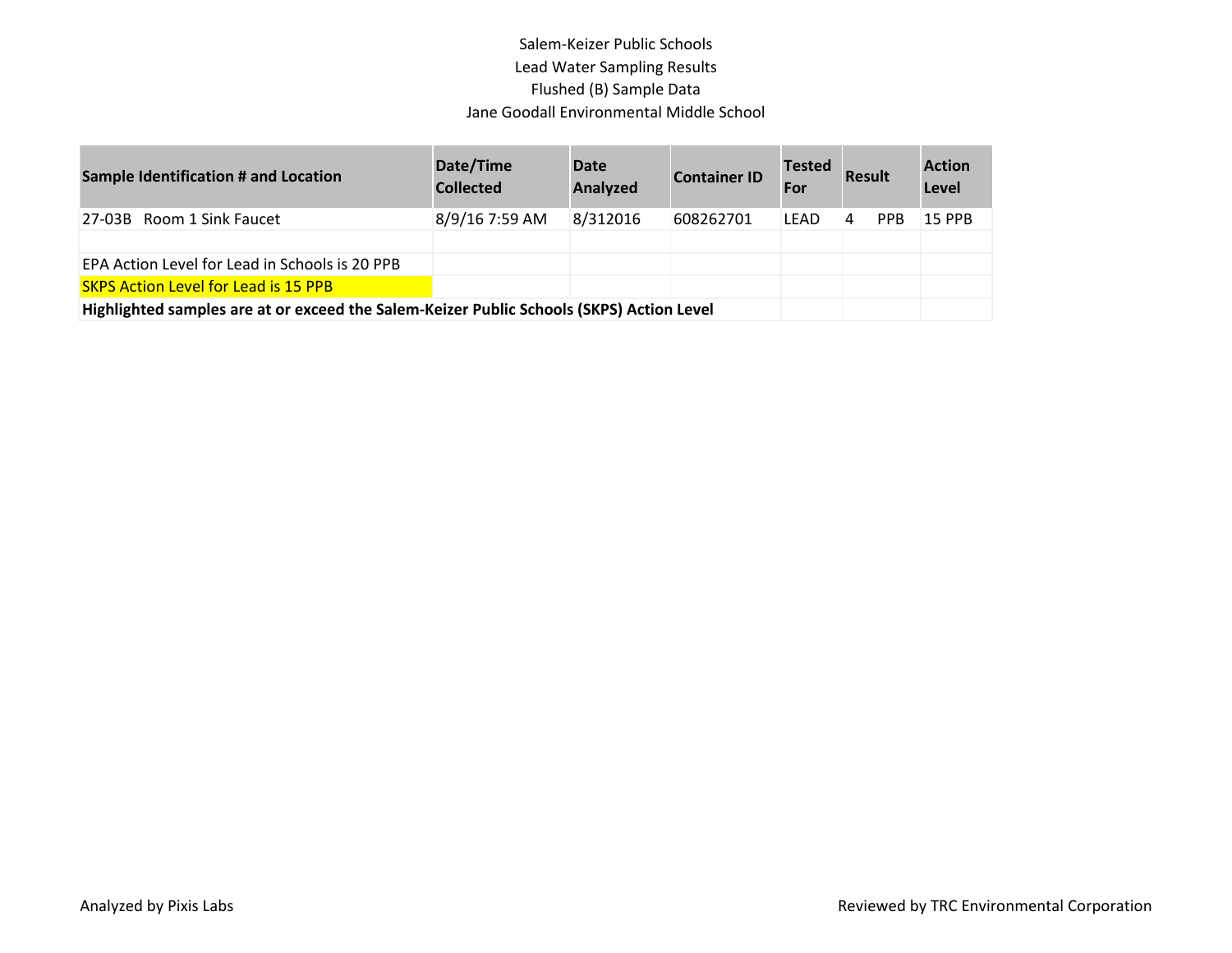# Salem-Keizer Public Schools Lead Water Sampling Results Flushed (B) Sample Data Jane Goodall Environmental Middle School

| <b>Sample Identification # and Location</b>                                              | Date/Time<br><b>Collected</b> | <b>Date</b><br><b>Analyzed</b> | <b>Container ID</b> | <b>Tested</b><br>For | <b>Result</b> |            | <b>Action</b><br>Level |
|------------------------------------------------------------------------------------------|-------------------------------|--------------------------------|---------------------|----------------------|---------------|------------|------------------------|
| 27-03B Room 1 Sink Faucet                                                                | 8/9/16 7:59 AM                | 8/312016                       | 608262701           | LEAD                 | 4             | <b>PPB</b> | <b>15 PPB</b>          |
|                                                                                          |                               |                                |                     |                      |               |            |                        |
| EPA Action Level for Lead in Schools is 20 PPB                                           |                               |                                |                     |                      |               |            |                        |
| <b>SKPS Action Level for Lead is 15 PPB</b>                                              |                               |                                |                     |                      |               |            |                        |
| Highlighted samples are at or exceed the Salem-Keizer Public Schools (SKPS) Action Level |                               |                                |                     |                      |               |            |                        |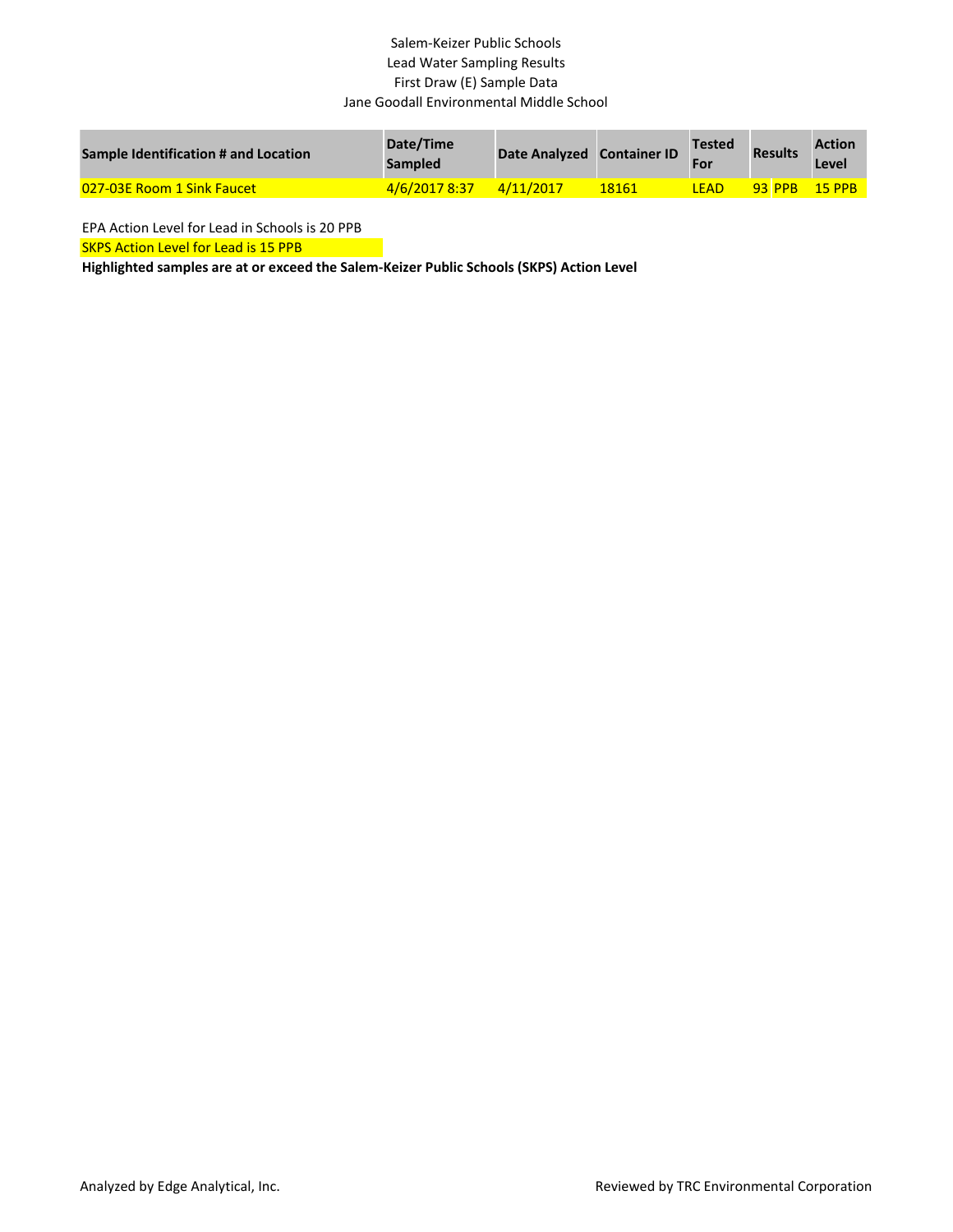### Salem-Keizer Public Schools Lead Water Sampling Results First Draw (E) Sample Data Jane Goodall Environmental Middle School

| <b>Sample Identification # and Location</b> | Date/Time<br><b>Sampled</b> | Date Analyzed Container ID |       | <b>Tested</b><br>For | <b>Results</b> | <b>Action</b><br>Level |
|---------------------------------------------|-----------------------------|----------------------------|-------|----------------------|----------------|------------------------|
| <b>027-03E Room 1 Sink Faucet</b>           | 4/6/2017 8:37               | 4/11/2017                  | 18161 | <b>LEAD</b>          | <b>93 PPB</b>  | $15$ PPB               |

EPA Action Level for Lead in Schools is 20 PPB

SKPS Action Level for Lead is 15 PPB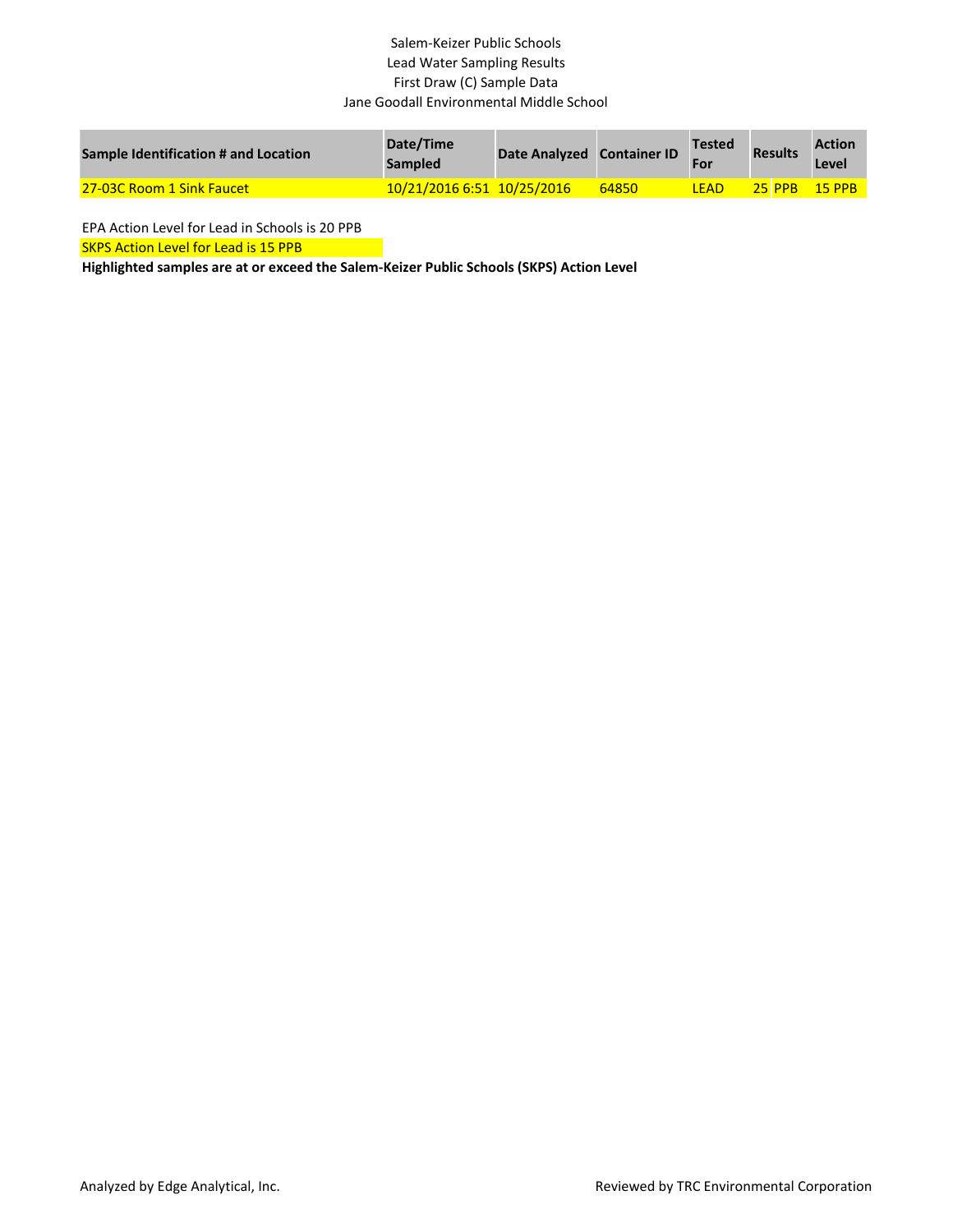### Salem-Keizer Public Schools Lead Water Sampling Results First Draw (C) Sample Data Jane Goodall Environmental Middle School

| <b>Sample Identification # and Location</b> | Date/Time<br><b>Sampled</b> | Date Analyzed Container ID |       | <b>Tested</b><br>For | <b>Results</b> | <b>Action</b><br>Level |
|---------------------------------------------|-----------------------------|----------------------------|-------|----------------------|----------------|------------------------|
| 27-03C Room 1 Sink Faucet                   | 10/21/2016 6:51 10/25/2016  |                            | 64850 | LEAD                 | <b>25 PPB</b>  | $15$ PPR               |

EPA Action Level for Lead in Schools is 20 PPB

SKPS Action Level for Lead is 15 PPB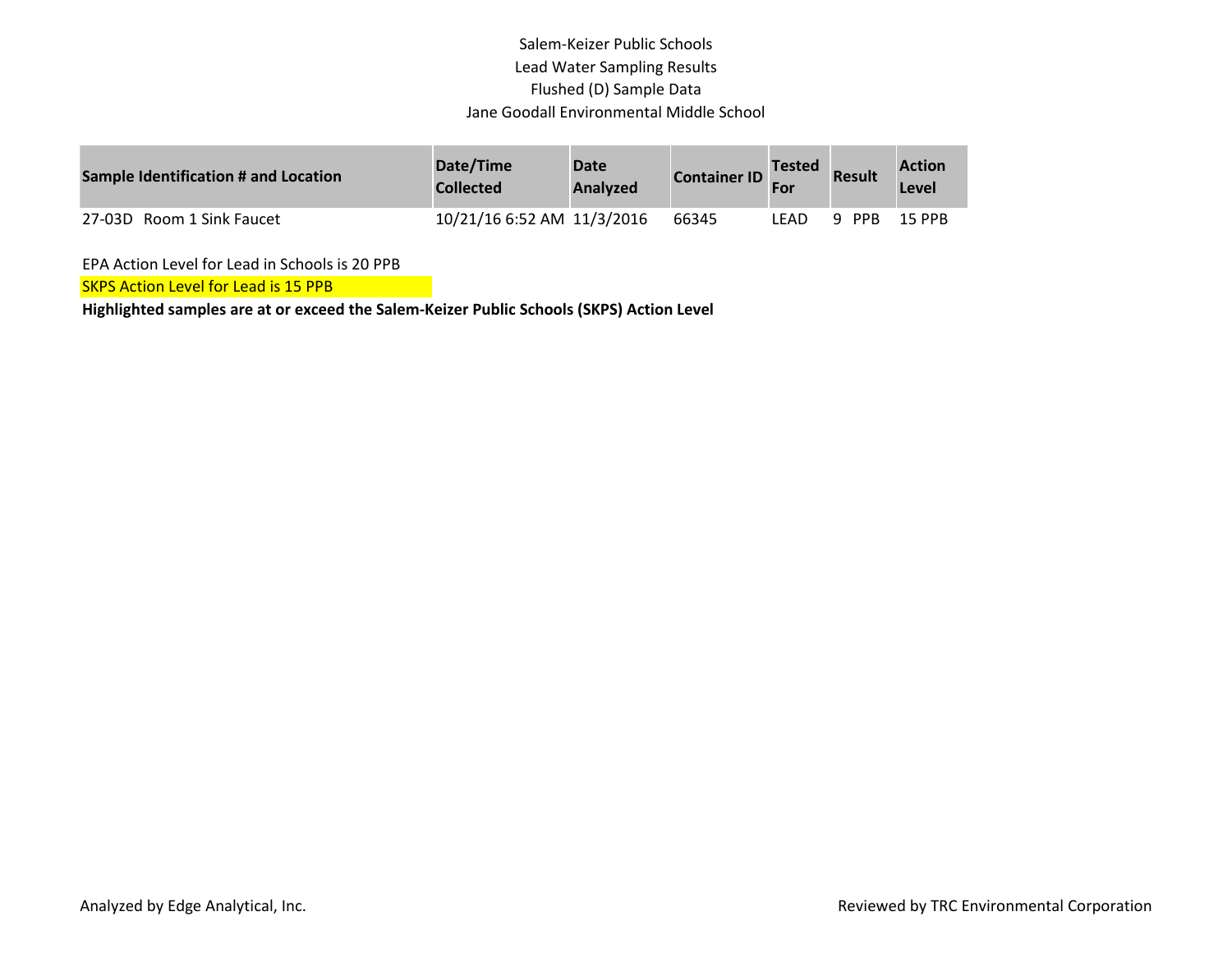# Salem-Keizer Public Schools Lead Water Sampling Results Flushed (D) Sample Data Jane Goodall Environmental Middle School

| Sample Identification # and Location | Date/Time<br><b>Collected</b> | <b>Date</b><br><b>Analyzed</b> | <b>Container ID</b> | <b>Tested</b> | <b>Result</b> | <b>Action</b><br>Level |
|--------------------------------------|-------------------------------|--------------------------------|---------------------|---------------|---------------|------------------------|
| 27-03D Room 1 Sink Faucet            | 10/21/16 6:52 AM 11/3/2016    |                                | 66345               | LFAD          | PPB<br>q      | <b>15 PPB</b>          |

EPA Action Level for Lead in Schools is 20 PPB

SKPS Action Level for Lead is 15 PPB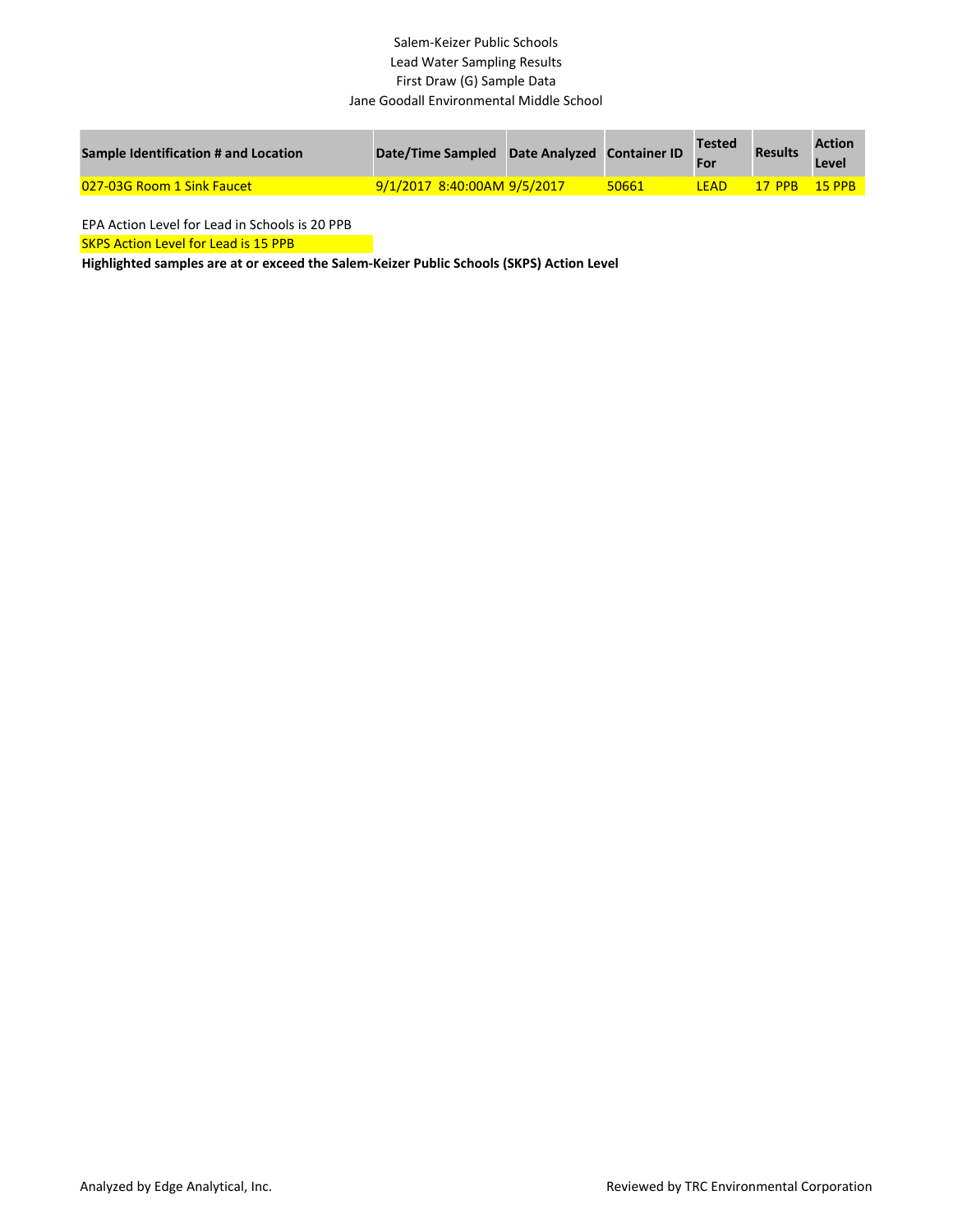#### Salem-Keizer Public Schools Lead Water Sampling Results First Draw (G) Sample Data Jane Goodall Environmental Middle School

| Sample Identification # and Location | Date/Time Sampled Date Analyzed Container ID |       | Tested      | <b>Results</b> | <b>Action</b><br>Level |
|--------------------------------------|----------------------------------------------|-------|-------------|----------------|------------------------|
| 027-03G Room 1 Sink Faucet           | 8/1/2017 8:40:00AM 9/5/2017                  | 50661 | <b>TEAD</b> | 17 PPB         | $-15$ PPR              |

EPA Action Level for Lead in Schools is 20 PPB

SKPS Action Level for Lead is 15 PPB